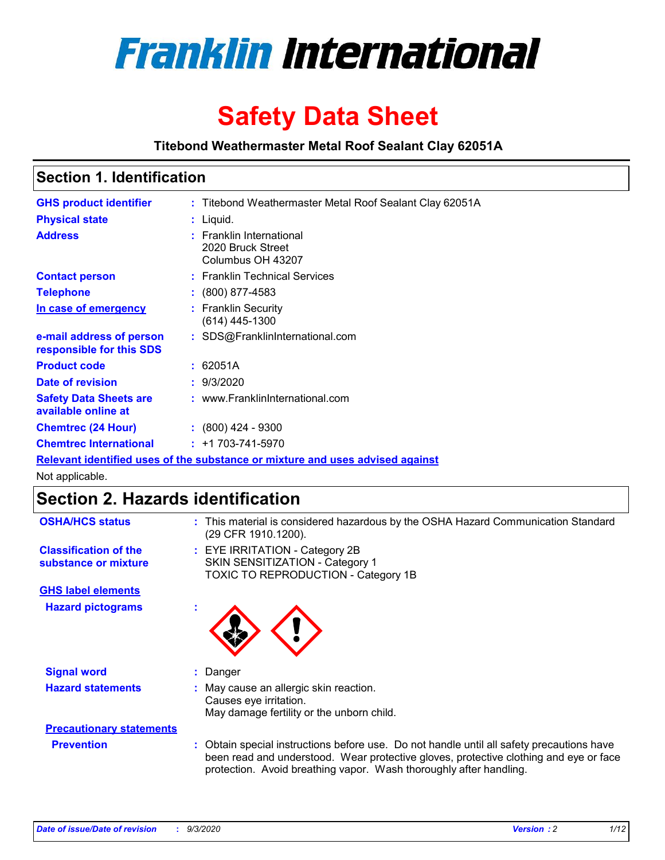

# **Safety Data Sheet**

**Titebond Weathermaster Metal Roof Sealant Clay 62051A**

### **Section 1. Identification**

| <b>GHS product identifier</b>                                                 |  | : Titebond Weathermaster Metal Roof Sealant Clay 62051A            |  |  |
|-------------------------------------------------------------------------------|--|--------------------------------------------------------------------|--|--|
| <b>Physical state</b>                                                         |  | : Liquid.                                                          |  |  |
| <b>Address</b>                                                                |  | : Franklin International<br>2020 Bruck Street<br>Columbus OH 43207 |  |  |
| <b>Contact person</b>                                                         |  | : Franklin Technical Services                                      |  |  |
| <b>Telephone</b>                                                              |  | $: (800) 877-4583$                                                 |  |  |
| In case of emergency                                                          |  | : Franklin Security<br>(614) 445-1300                              |  |  |
| e-mail address of person<br>responsible for this SDS                          |  | : SDS@FranklinInternational.com                                    |  |  |
| <b>Product code</b>                                                           |  | : 62051A                                                           |  |  |
| Date of revision                                                              |  | : 9/3/2020                                                         |  |  |
| <b>Safety Data Sheets are</b><br>available online at                          |  | : www.FranklinInternational.com                                    |  |  |
| <b>Chemtrec (24 Hour)</b>                                                     |  | $: (800)$ 424 - 9300                                               |  |  |
| <b>Chemtrec International</b>                                                 |  | $: +1703 - 741 - 5970$                                             |  |  |
| Relevant identified uses of the substance or mixture and uses advised against |  |                                                                    |  |  |

Not applicable.

## **Section 2. Hazards identification**

| <b>OSHA/HCS status</b>                               |    | : This material is considered hazardous by the OSHA Hazard Communication Standard<br>(29 CFR 1910.1200).                                                                                                                                                 |
|------------------------------------------------------|----|----------------------------------------------------------------------------------------------------------------------------------------------------------------------------------------------------------------------------------------------------------|
| <b>Classification of the</b><br>substance or mixture |    | : EYE IRRITATION - Category 2B<br>SKIN SENSITIZATION - Category 1<br>TOXIC TO REPRODUCTION - Category 1B                                                                                                                                                 |
| <b>GHS label elements</b>                            |    |                                                                                                                                                                                                                                                          |
| <b>Hazard pictograms</b>                             | ×. |                                                                                                                                                                                                                                                          |
| <b>Signal word</b>                                   | ÷. | Danger                                                                                                                                                                                                                                                   |
| <b>Hazard statements</b>                             |    | May cause an allergic skin reaction.<br>Causes eye irritation.<br>May damage fertility or the unborn child.                                                                                                                                              |
| <b>Precautionary statements</b>                      |    |                                                                                                                                                                                                                                                          |
| <b>Prevention</b>                                    |    | : Obtain special instructions before use. Do not handle until all safety precautions have<br>been read and understood. Wear protective gloves, protective clothing and eye or face<br>protection. Avoid breathing vapor. Wash thoroughly after handling. |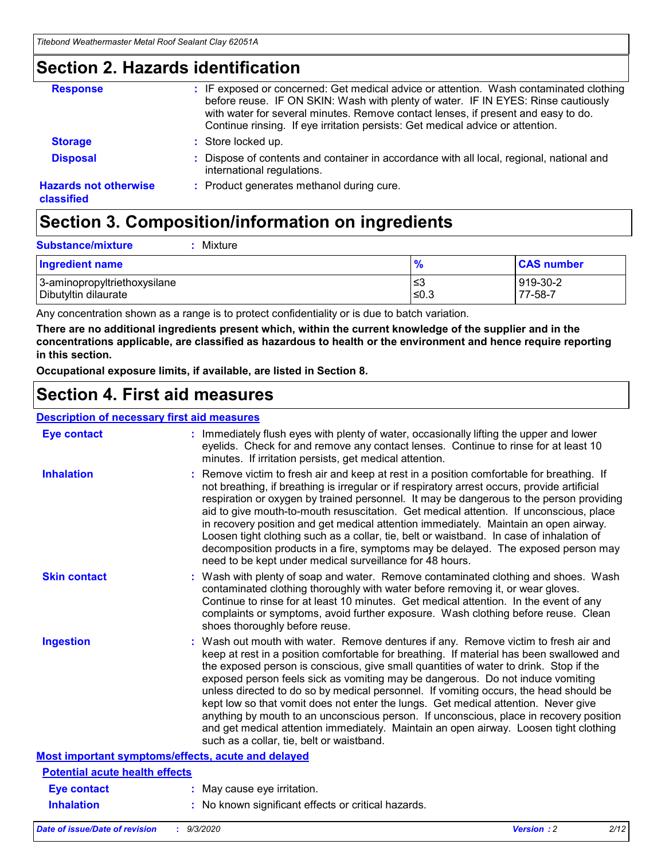### **Section 2. Hazards identification**

| <b>Response</b>                            | : IF exposed or concerned: Get medical advice or attention. Wash contaminated clothing<br>before reuse. IF ON SKIN: Wash with plenty of water. IF IN EYES: Rinse cautiously<br>with water for several minutes. Remove contact lenses, if present and easy to do.<br>Continue rinsing. If eye irritation persists: Get medical advice or attention. |
|--------------------------------------------|----------------------------------------------------------------------------------------------------------------------------------------------------------------------------------------------------------------------------------------------------------------------------------------------------------------------------------------------------|
| <b>Storage</b>                             | : Store locked up.                                                                                                                                                                                                                                                                                                                                 |
| <b>Disposal</b>                            | : Dispose of contents and container in accordance with all local, regional, national and<br>international regulations.                                                                                                                                                                                                                             |
| <b>Hazards not otherwise</b><br>classified | : Product generates methanol during cure.                                                                                                                                                                                                                                                                                                          |

# **Section 3. Composition/information on ingredients**

| <b>Substance/mixture</b> |  | : Mixture |
|--------------------------|--|-----------|
|--------------------------|--|-----------|

| <b>Ingredient name</b>       | $\frac{9}{6}$ | <b>CAS number</b> |
|------------------------------|---------------|-------------------|
| 3-aminopropyltriethoxysilane | ≤3            | 919-30-2          |
| Dibutyltin dilaurate         | ∣≤0.3         | 77-58-7           |

Any concentration shown as a range is to protect confidentiality or is due to batch variation.

**There are no additional ingredients present which, within the current knowledge of the supplier and in the concentrations applicable, are classified as hazardous to health or the environment and hence require reporting in this section.**

**Occupational exposure limits, if available, are listed in Section 8.**

### **Section 4. First aid measures**

| <b>Description of necessary first aid measures</b> |                                                                                                                                                                                                                                                                                                                                                                                                                                                                                                                                                                                                                                                                                                                                                                           |
|----------------------------------------------------|---------------------------------------------------------------------------------------------------------------------------------------------------------------------------------------------------------------------------------------------------------------------------------------------------------------------------------------------------------------------------------------------------------------------------------------------------------------------------------------------------------------------------------------------------------------------------------------------------------------------------------------------------------------------------------------------------------------------------------------------------------------------------|
| <b>Eye contact</b>                                 | : Immediately flush eyes with plenty of water, occasionally lifting the upper and lower<br>eyelids. Check for and remove any contact lenses. Continue to rinse for at least 10<br>minutes. If irritation persists, get medical attention.                                                                                                                                                                                                                                                                                                                                                                                                                                                                                                                                 |
| <b>Inhalation</b>                                  | : Remove victim to fresh air and keep at rest in a position comfortable for breathing. If<br>not breathing, if breathing is irregular or if respiratory arrest occurs, provide artificial<br>respiration or oxygen by trained personnel. It may be dangerous to the person providing<br>aid to give mouth-to-mouth resuscitation. Get medical attention. If unconscious, place<br>in recovery position and get medical attention immediately. Maintain an open airway.<br>Loosen tight clothing such as a collar, tie, belt or waistband. In case of inhalation of<br>decomposition products in a fire, symptoms may be delayed. The exposed person may<br>need to be kept under medical surveillance for 48 hours.                                                       |
| <b>Skin contact</b>                                | : Wash with plenty of soap and water. Remove contaminated clothing and shoes. Wash<br>contaminated clothing thoroughly with water before removing it, or wear gloves.<br>Continue to rinse for at least 10 minutes. Get medical attention. In the event of any<br>complaints or symptoms, avoid further exposure. Wash clothing before reuse. Clean<br>shoes thoroughly before reuse.                                                                                                                                                                                                                                                                                                                                                                                     |
| <b>Ingestion</b>                                   | : Wash out mouth with water. Remove dentures if any. Remove victim to fresh air and<br>keep at rest in a position comfortable for breathing. If material has been swallowed and<br>the exposed person is conscious, give small quantities of water to drink. Stop if the<br>exposed person feels sick as vomiting may be dangerous. Do not induce vomiting<br>unless directed to do so by medical personnel. If vomiting occurs, the head should be<br>kept low so that vomit does not enter the lungs. Get medical attention. Never give<br>anything by mouth to an unconscious person. If unconscious, place in recovery position<br>and get medical attention immediately. Maintain an open airway. Loosen tight clothing<br>such as a collar, tie, belt or waistband. |
| Most important symptoms/effects, acute and delayed |                                                                                                                                                                                                                                                                                                                                                                                                                                                                                                                                                                                                                                                                                                                                                                           |
| <b>Potential acute health effects</b>              |                                                                                                                                                                                                                                                                                                                                                                                                                                                                                                                                                                                                                                                                                                                                                                           |
| Eye contact                                        | : May cause eye irritation.                                                                                                                                                                                                                                                                                                                                                                                                                                                                                                                                                                                                                                                                                                                                               |
| <b>Inhalation</b>                                  | : No known significant effects or critical hazards.                                                                                                                                                                                                                                                                                                                                                                                                                                                                                                                                                                                                                                                                                                                       |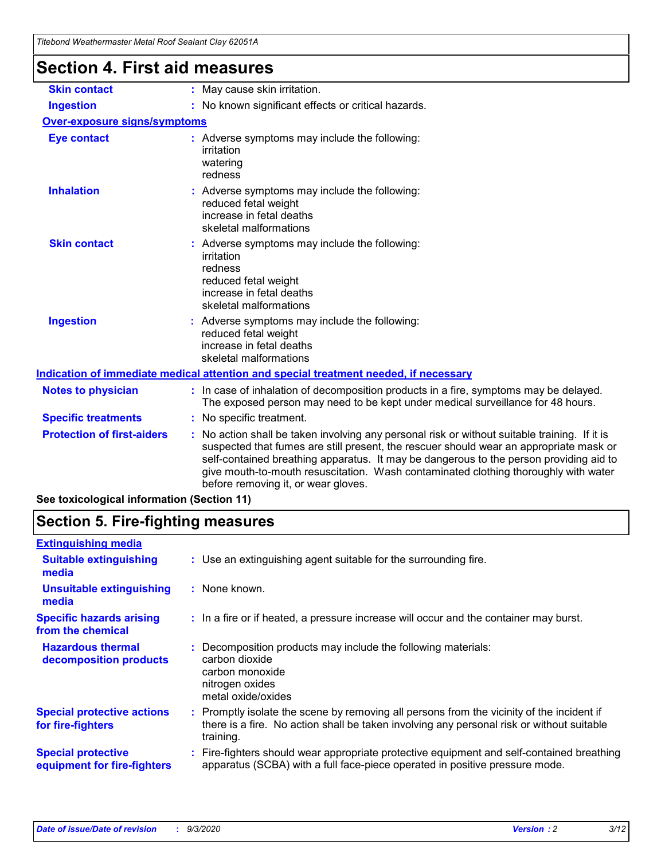| l itebond Weathermaster Metal Roof Sealant Clay 62051A |                                                                                                                                                                                                                                                                                                                                                                                                                 |
|--------------------------------------------------------|-----------------------------------------------------------------------------------------------------------------------------------------------------------------------------------------------------------------------------------------------------------------------------------------------------------------------------------------------------------------------------------------------------------------|
| <b>Section 4. First aid measures</b>                   |                                                                                                                                                                                                                                                                                                                                                                                                                 |
| <b>Skin contact</b>                                    | : May cause skin irritation.                                                                                                                                                                                                                                                                                                                                                                                    |
| <b>Ingestion</b>                                       | : No known significant effects or critical hazards.                                                                                                                                                                                                                                                                                                                                                             |
| <b>Over-exposure signs/symptoms</b>                    |                                                                                                                                                                                                                                                                                                                                                                                                                 |
| <b>Eye contact</b>                                     | : Adverse symptoms may include the following:<br>irritation<br>watering<br>redness                                                                                                                                                                                                                                                                                                                              |
| <b>Inhalation</b>                                      | : Adverse symptoms may include the following:<br>reduced fetal weight<br>increase in fetal deaths<br>skeletal malformations                                                                                                                                                                                                                                                                                     |
| <b>Skin contact</b>                                    | Adverse symptoms may include the following:<br>irritation<br>redness<br>reduced fetal weight<br>increase in fetal deaths<br>skeletal malformations                                                                                                                                                                                                                                                              |
| <b>Ingestion</b>                                       | : Adverse symptoms may include the following:<br>reduced fetal weight<br>increase in fetal deaths<br>skeletal malformations                                                                                                                                                                                                                                                                                     |
|                                                        | Indication of immediate medical attention and special treatment needed, if necessary                                                                                                                                                                                                                                                                                                                            |
| <b>Notes to physician</b>                              | : In case of inhalation of decomposition products in a fire, symptoms may be delayed.<br>The exposed person may need to be kept under medical surveillance for 48 hours.                                                                                                                                                                                                                                        |
| <b>Specific treatments</b>                             | : No specific treatment.                                                                                                                                                                                                                                                                                                                                                                                        |
| <b>Protection of first-aiders</b>                      | : No action shall be taken involving any personal risk or without suitable training. If it is<br>suspected that fumes are still present, the rescuer should wear an appropriate mask or<br>self-contained breathing apparatus. It may be dangerous to the person providing aid to<br>give mouth-to-mouth resuscitation. Wash contaminated clothing thoroughly with water<br>before removing it, or wear gloves. |

**See toxicological information (Section 11)**

### **Section 5. Fire-fighting measures**

| <b>Extinguishing media</b>                               |                                                                                                                                                                                                   |
|----------------------------------------------------------|---------------------------------------------------------------------------------------------------------------------------------------------------------------------------------------------------|
| <b>Suitable extinguishing</b><br>media                   | : Use an extinguishing agent suitable for the surrounding fire.                                                                                                                                   |
| <b>Unsuitable extinguishing</b><br>media                 | : None known.                                                                                                                                                                                     |
| <b>Specific hazards arising</b><br>from the chemical     | : In a fire or if heated, a pressure increase will occur and the container may burst.                                                                                                             |
| <b>Hazardous thermal</b><br>decomposition products       | Decomposition products may include the following materials:<br>carbon dioxide<br>carbon monoxide<br>nitrogen oxides<br>metal oxide/oxides                                                         |
| <b>Special protective actions</b><br>for fire-fighters   | Promptly isolate the scene by removing all persons from the vicinity of the incident if<br>there is a fire. No action shall be taken involving any personal risk or without suitable<br>training. |
| <b>Special protective</b><br>equipment for fire-fighters | Fire-fighters should wear appropriate protective equipment and self-contained breathing<br>apparatus (SCBA) with a full face-piece operated in positive pressure mode.                            |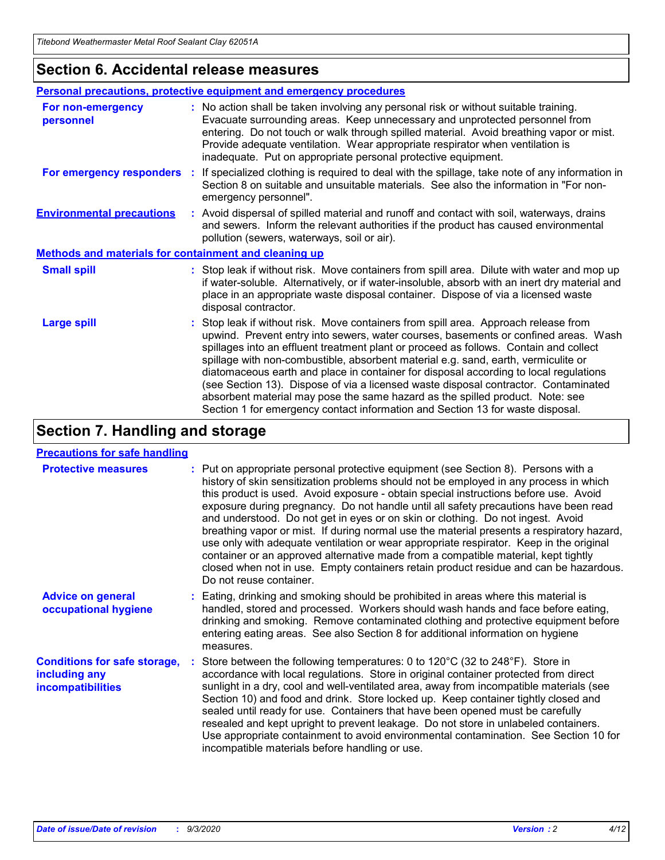### **Section 6. Accidental release measures**

|                                                              | Personal precautions, protective equipment and emergency procedures                                                                                                                                                                                                                                                                                                                                                                                                                                                                                                                                                                                                                                          |  |  |  |
|--------------------------------------------------------------|--------------------------------------------------------------------------------------------------------------------------------------------------------------------------------------------------------------------------------------------------------------------------------------------------------------------------------------------------------------------------------------------------------------------------------------------------------------------------------------------------------------------------------------------------------------------------------------------------------------------------------------------------------------------------------------------------------------|--|--|--|
| For non-emergency<br>personnel                               | : No action shall be taken involving any personal risk or without suitable training.<br>Evacuate surrounding areas. Keep unnecessary and unprotected personnel from<br>entering. Do not touch or walk through spilled material. Avoid breathing vapor or mist.<br>Provide adequate ventilation. Wear appropriate respirator when ventilation is<br>inadequate. Put on appropriate personal protective equipment.                                                                                                                                                                                                                                                                                             |  |  |  |
| For emergency responders                                     | : If specialized clothing is required to deal with the spillage, take note of any information in<br>Section 8 on suitable and unsuitable materials. See also the information in "For non-<br>emergency personnel".                                                                                                                                                                                                                                                                                                                                                                                                                                                                                           |  |  |  |
| <b>Environmental precautions</b>                             | : Avoid dispersal of spilled material and runoff and contact with soil, waterways, drains<br>and sewers. Inform the relevant authorities if the product has caused environmental<br>pollution (sewers, waterways, soil or air).                                                                                                                                                                                                                                                                                                                                                                                                                                                                              |  |  |  |
| <b>Methods and materials for containment and cleaning up</b> |                                                                                                                                                                                                                                                                                                                                                                                                                                                                                                                                                                                                                                                                                                              |  |  |  |
| <b>Small spill</b>                                           | : Stop leak if without risk. Move containers from spill area. Dilute with water and mop up<br>if water-soluble. Alternatively, or if water-insoluble, absorb with an inert dry material and<br>place in an appropriate waste disposal container. Dispose of via a licensed waste<br>disposal contractor.                                                                                                                                                                                                                                                                                                                                                                                                     |  |  |  |
| <b>Large spill</b>                                           | : Stop leak if without risk. Move containers from spill area. Approach release from<br>upwind. Prevent entry into sewers, water courses, basements or confined areas. Wash<br>spillages into an effluent treatment plant or proceed as follows. Contain and collect<br>spillage with non-combustible, absorbent material e.g. sand, earth, vermiculite or<br>diatomaceous earth and place in container for disposal according to local regulations<br>(see Section 13). Dispose of via a licensed waste disposal contractor. Contaminated<br>absorbent material may pose the same hazard as the spilled product. Note: see<br>Section 1 for emergency contact information and Section 13 for waste disposal. |  |  |  |

### **Section 7. Handling and storage**

#### **Precautions for safe handling**

| <b>Protective measures</b>                                                       | : Put on appropriate personal protective equipment (see Section 8). Persons with a<br>history of skin sensitization problems should not be employed in any process in which<br>this product is used. Avoid exposure - obtain special instructions before use. Avoid<br>exposure during pregnancy. Do not handle until all safety precautions have been read<br>and understood. Do not get in eyes or on skin or clothing. Do not ingest. Avoid<br>breathing vapor or mist. If during normal use the material presents a respiratory hazard,<br>use only with adequate ventilation or wear appropriate respirator. Keep in the original<br>container or an approved alternative made from a compatible material, kept tightly<br>closed when not in use. Empty containers retain product residue and can be hazardous.<br>Do not reuse container. |
|----------------------------------------------------------------------------------|--------------------------------------------------------------------------------------------------------------------------------------------------------------------------------------------------------------------------------------------------------------------------------------------------------------------------------------------------------------------------------------------------------------------------------------------------------------------------------------------------------------------------------------------------------------------------------------------------------------------------------------------------------------------------------------------------------------------------------------------------------------------------------------------------------------------------------------------------|
| <b>Advice on general</b><br>occupational hygiene                                 | : Eating, drinking and smoking should be prohibited in areas where this material is<br>handled, stored and processed. Workers should wash hands and face before eating,<br>drinking and smoking. Remove contaminated clothing and protective equipment before<br>entering eating areas. See also Section 8 for additional information on hygiene<br>measures.                                                                                                                                                                                                                                                                                                                                                                                                                                                                                    |
| <b>Conditions for safe storage,</b><br>including any<br><i>incompatibilities</i> | Store between the following temperatures: 0 to 120°C (32 to 248°F). Store in<br>accordance with local regulations. Store in original container protected from direct<br>sunlight in a dry, cool and well-ventilated area, away from incompatible materials (see<br>Section 10) and food and drink. Store locked up. Keep container tightly closed and<br>sealed until ready for use. Containers that have been opened must be carefully<br>resealed and kept upright to prevent leakage. Do not store in unlabeled containers.<br>Use appropriate containment to avoid environmental contamination. See Section 10 for<br>incompatible materials before handling or use.                                                                                                                                                                         |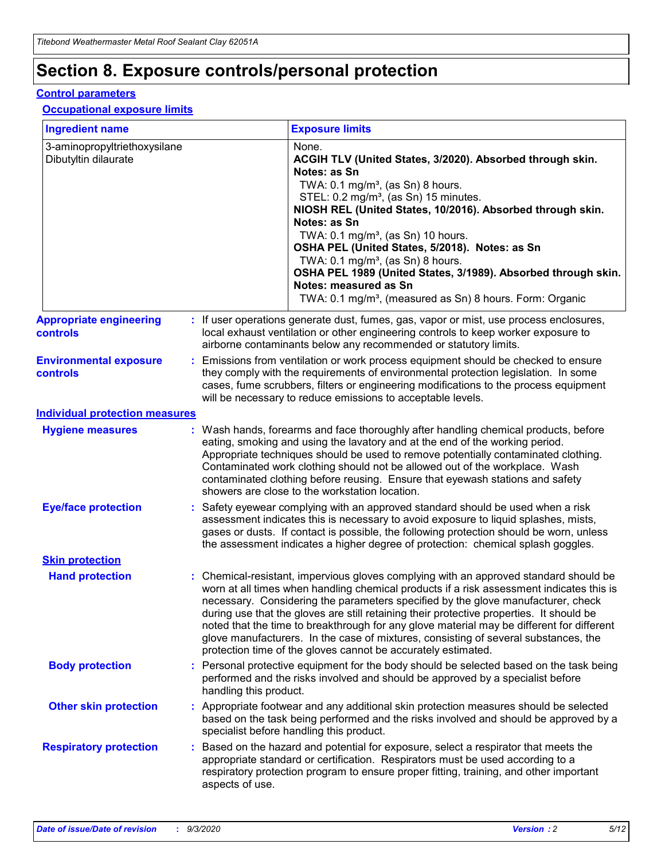# **Section 8. Exposure controls/personal protection**

#### **Control parameters**

#### **Occupational exposure limits**

| <b>Ingredient name</b>                               |    |                        | <b>Exposure limits</b>                                                                                                                                                                                                                                                                                                                                                                                                                                                                                                                                                                                                 |
|------------------------------------------------------|----|------------------------|------------------------------------------------------------------------------------------------------------------------------------------------------------------------------------------------------------------------------------------------------------------------------------------------------------------------------------------------------------------------------------------------------------------------------------------------------------------------------------------------------------------------------------------------------------------------------------------------------------------------|
| 3-aminopropyltriethoxysilane<br>Dibutyltin dilaurate |    |                        | None.<br>ACGIH TLV (United States, 3/2020). Absorbed through skin.<br>Notes: as Sn<br>TWA: $0.1 \text{ mg/m}^3$ , (as Sn) 8 hours.<br>STEL: 0.2 mg/m <sup>3</sup> , (as Sn) 15 minutes.<br>NIOSH REL (United States, 10/2016). Absorbed through skin.<br>Notes: as Sn<br>TWA: 0.1 mg/m <sup>3</sup> , (as Sn) 10 hours.<br>OSHA PEL (United States, 5/2018). Notes: as Sn<br>TWA: $0.1 \text{ mg/m}^3$ , (as Sn) 8 hours.<br>OSHA PEL 1989 (United States, 3/1989). Absorbed through skin.<br>Notes: measured as Sn<br>TWA: 0.1 mg/m <sup>3</sup> , (measured as Sn) 8 hours. Form: Organic                            |
| <b>Appropriate engineering</b><br>controls           |    |                        | : If user operations generate dust, fumes, gas, vapor or mist, use process enclosures,<br>local exhaust ventilation or other engineering controls to keep worker exposure to<br>airborne contaminants below any recommended or statutory limits.                                                                                                                                                                                                                                                                                                                                                                       |
| <b>Environmental exposure</b><br>controls            |    |                        | Emissions from ventilation or work process equipment should be checked to ensure<br>they comply with the requirements of environmental protection legislation. In some<br>cases, fume scrubbers, filters or engineering modifications to the process equipment<br>will be necessary to reduce emissions to acceptable levels.                                                                                                                                                                                                                                                                                          |
| <b>Individual protection measures</b>                |    |                        |                                                                                                                                                                                                                                                                                                                                                                                                                                                                                                                                                                                                                        |
| <b>Hygiene measures</b>                              |    |                        | : Wash hands, forearms and face thoroughly after handling chemical products, before<br>eating, smoking and using the lavatory and at the end of the working period.<br>Appropriate techniques should be used to remove potentially contaminated clothing.<br>Contaminated work clothing should not be allowed out of the workplace. Wash<br>contaminated clothing before reusing. Ensure that eyewash stations and safety<br>showers are close to the workstation location.                                                                                                                                            |
| <b>Eye/face protection</b>                           |    |                        | : Safety eyewear complying with an approved standard should be used when a risk<br>assessment indicates this is necessary to avoid exposure to liquid splashes, mists,<br>gases or dusts. If contact is possible, the following protection should be worn, unless<br>the assessment indicates a higher degree of protection: chemical splash goggles.                                                                                                                                                                                                                                                                  |
| <b>Skin protection</b>                               |    |                        |                                                                                                                                                                                                                                                                                                                                                                                                                                                                                                                                                                                                                        |
| <b>Hand protection</b>                               |    |                        | : Chemical-resistant, impervious gloves complying with an approved standard should be<br>worn at all times when handling chemical products if a risk assessment indicates this is<br>necessary. Considering the parameters specified by the glove manufacturer, check<br>during use that the gloves are still retaining their protective properties. It should be<br>noted that the time to breakthrough for any glove material may be different for different<br>glove manufacturers. In the case of mixtures, consisting of several substances, the<br>protection time of the gloves cannot be accurately estimated. |
| <b>Body protection</b>                               |    | handling this product. | Personal protective equipment for the body should be selected based on the task being<br>performed and the risks involved and should be approved by a specialist before                                                                                                                                                                                                                                                                                                                                                                                                                                                |
| <b>Other skin protection</b>                         |    |                        | : Appropriate footwear and any additional skin protection measures should be selected<br>based on the task being performed and the risks involved and should be approved by a<br>specialist before handling this product.                                                                                                                                                                                                                                                                                                                                                                                              |
| <b>Respiratory protection</b>                        | ÷. | aspects of use.        | Based on the hazard and potential for exposure, select a respirator that meets the<br>appropriate standard or certification. Respirators must be used according to a<br>respiratory protection program to ensure proper fitting, training, and other important                                                                                                                                                                                                                                                                                                                                                         |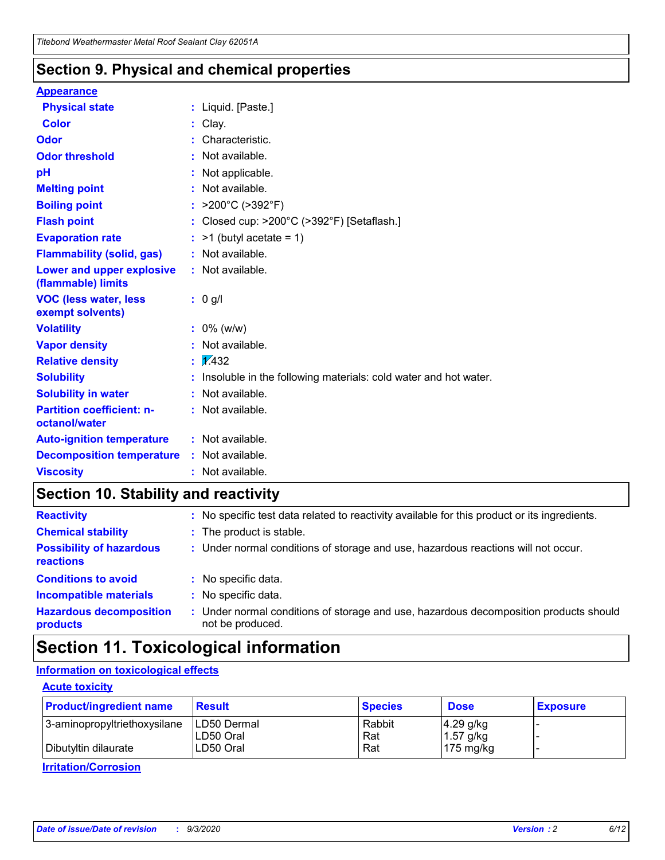### **Section 9. Physical and chemical properties**

#### **Appearance**

| <b>Physical state</b>                             | : Liquid. [Paste.]                                              |
|---------------------------------------------------|-----------------------------------------------------------------|
| <b>Color</b>                                      | Clay.                                                           |
| Odor                                              | Characteristic.                                                 |
| <b>Odor threshold</b>                             | Not available.                                                  |
| pH                                                | Not applicable.                                                 |
| <b>Melting point</b>                              | : Not available.                                                |
| <b>Boiling point</b>                              | : $>200^{\circ}$ C ( $>392^{\circ}$ F)                          |
| <b>Flash point</b>                                | Closed cup: >200°C (>392°F) [Setaflash.]                        |
| <b>Evaporation rate</b>                           | $:$ >1 (butyl acetate = 1)                                      |
| <b>Flammability (solid, gas)</b>                  | : Not available.                                                |
| Lower and upper explosive<br>(flammable) limits   | $:$ Not available.                                              |
| <b>VOC (less water, less</b><br>exempt solvents)  | : 0 g/l                                                         |
| <b>Volatility</b>                                 | $: 0\%$ (w/w)                                                   |
| <b>Vapor density</b>                              | Not available.                                                  |
| <b>Relative density</b>                           | $\frac{1}{2}$ 2.432                                             |
| <b>Solubility</b>                                 | Insoluble in the following materials: cold water and hot water. |
| <b>Solubility in water</b>                        | Not available.                                                  |
| <b>Partition coefficient: n-</b><br>octanol/water | : Not available.                                                |
| <b>Auto-ignition temperature</b>                  | : Not available.                                                |
| <b>Decomposition temperature</b>                  | $:$ Not available.                                              |
| <b>Viscosity</b>                                  | $:$ Not available.                                              |

### **Section 10. Stability and reactivity**

| <b>Reactivity</b>                            |    | : No specific test data related to reactivity available for this product or its ingredients.            |
|----------------------------------------------|----|---------------------------------------------------------------------------------------------------------|
| <b>Chemical stability</b>                    |    | : The product is stable.                                                                                |
| <b>Possibility of hazardous</b><br>reactions |    | : Under normal conditions of storage and use, hazardous reactions will not occur.                       |
| <b>Conditions to avoid</b>                   |    | : No specific data.                                                                                     |
| <b>Incompatible materials</b>                | ٠. | No specific data.                                                                                       |
| <b>Hazardous decomposition</b><br>products   | ÷. | Under normal conditions of storage and use, hazardous decomposition products should<br>not be produced. |

### **Section 11. Toxicological information**

#### **Information on toxicological effects**

#### **Acute toxicity**

| <b>Product/ingredient name</b> | <b>Result</b>           | <b>Species</b> | <b>Dose</b>                | <b>Exposure</b> |
|--------------------------------|-------------------------|----------------|----------------------------|-----------------|
| 3-aminopropyltriethoxysilane   | <b>ILD50 Dermal</b>     | Rabbit         | 4.29 g/kg                  |                 |
| Dibutyltin dilaurate           | ILD50 Oral<br>LD50 Oral | Rat<br>Rat     | $1.57$ g/kg<br>175 $mg/kg$ |                 |
|                                |                         |                |                            |                 |

**Irritation/Corrosion**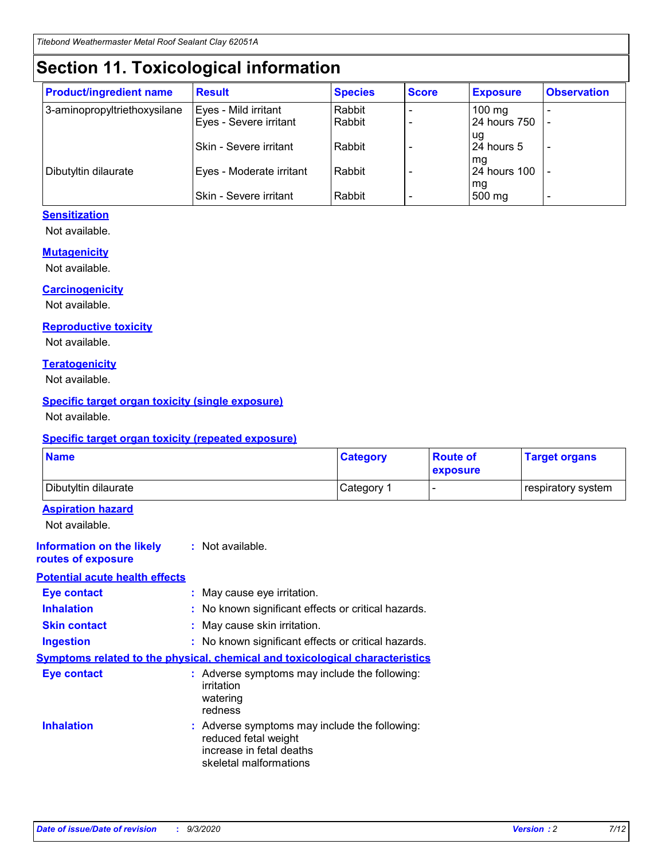# **Section 11. Toxicological information**

| <b>Product/ingredient name</b> | <b>Result</b>                 | <b>Species</b> | <b>Score</b> | <b>Exposure</b>    | <b>Observation</b> |
|--------------------------------|-------------------------------|----------------|--------------|--------------------|--------------------|
| 3-aminopropyltriethoxysilane   | Eyes - Mild irritant          | Rabbit         |              | $100$ mg           |                    |
|                                | Eyes - Severe irritant        | Rabbit         |              | 24 hours 750       |                    |
|                                |                               |                |              | ug                 |                    |
|                                | <b>Skin - Severe irritant</b> | Rabbit         |              | 24 hours 5         | ۰                  |
| Dibutyltin dilaurate           | Eyes - Moderate irritant      | Rabbit         |              | mq<br>24 hours 100 |                    |
|                                |                               |                |              | mg                 |                    |
|                                | Skin - Severe irritant        | Rabbit         |              | 500 mg             |                    |

#### **Sensitization**

Not available.

#### **Mutagenicity**

Not available.

#### **Carcinogenicity**

Not available.

#### **Reproductive toxicity**

Not available.

#### **Teratogenicity**

Not available.

#### **Specific target organ toxicity (single exposure)**

Not available.

#### **Specific target organ toxicity (repeated exposure)**

| <b>Name</b>                                                                         |                                                                            | <b>Category</b>                                     | <b>Route of</b><br>exposure | <b>Target organs</b> |  |  |
|-------------------------------------------------------------------------------------|----------------------------------------------------------------------------|-----------------------------------------------------|-----------------------------|----------------------|--|--|
| Dibutyltin dilaurate                                                                |                                                                            | Category 1                                          |                             | respiratory system   |  |  |
| <b>Aspiration hazard</b><br>Not available.                                          |                                                                            |                                                     |                             |                      |  |  |
| <b>Information on the likely</b><br>routes of exposure                              | : Not available.                                                           |                                                     |                             |                      |  |  |
| <b>Potential acute health effects</b>                                               |                                                                            |                                                     |                             |                      |  |  |
| <b>Eye contact</b>                                                                  | : May cause eye irritation.                                                |                                                     |                             |                      |  |  |
| <b>Inhalation</b>                                                                   |                                                                            | : No known significant effects or critical hazards. |                             |                      |  |  |
| <b>Skin contact</b>                                                                 |                                                                            | : May cause skin irritation.                        |                             |                      |  |  |
| <b>Ingestion</b>                                                                    |                                                                            | : No known significant effects or critical hazards. |                             |                      |  |  |
| <b>Symptoms related to the physical, chemical and toxicological characteristics</b> |                                                                            |                                                     |                             |                      |  |  |
| <b>Eye contact</b>                                                                  | irritation<br>watering<br>redness                                          | : Adverse symptoms may include the following:       |                             |                      |  |  |
| <b>Inhalation</b>                                                                   | reduced fetal weight<br>increase in fetal deaths<br>skeletal malformations | : Adverse symptoms may include the following:       |                             |                      |  |  |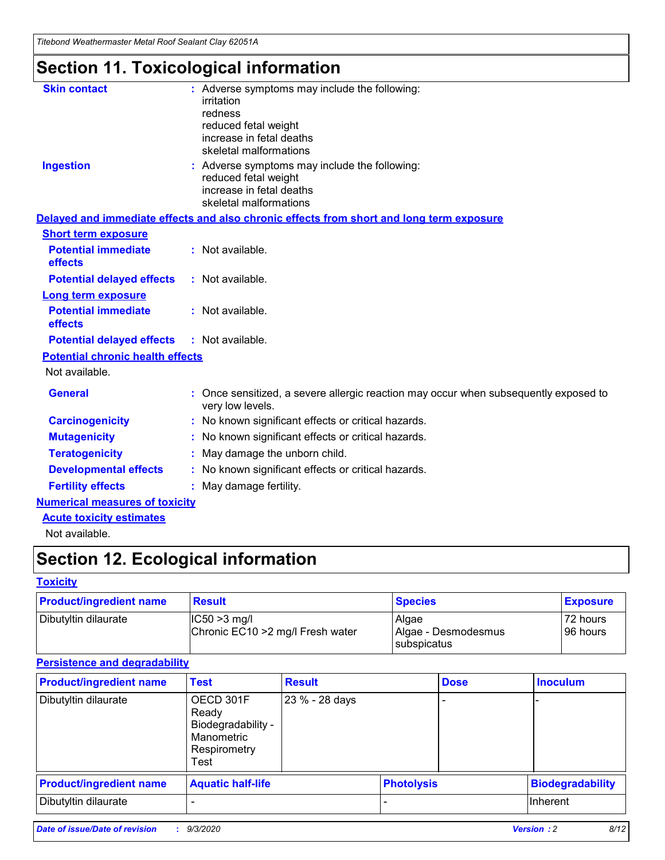*Titebond Weathermaster Metal Roof Sealant Clay 62051A*

# **Section 11. Toxicological information**

| <b>Skin contact</b>                     | : Adverse symptoms may include the following:<br>irritation                                            |
|-----------------------------------------|--------------------------------------------------------------------------------------------------------|
|                                         | redness                                                                                                |
|                                         | reduced fetal weight                                                                                   |
|                                         | increase in fetal deaths                                                                               |
|                                         | skeletal malformations                                                                                 |
| <b>Ingestion</b>                        | : Adverse symptoms may include the following:<br>reduced fetal weight                                  |
|                                         | increase in fetal deaths                                                                               |
|                                         | skeletal malformations                                                                                 |
|                                         | Delayed and immediate effects and also chronic effects from short and long term exposure               |
| <b>Short term exposure</b>              |                                                                                                        |
| <b>Potential immediate</b><br>effects   | : Not available.                                                                                       |
| <b>Potential delayed effects</b>        | : Not available.                                                                                       |
| Long term exposure                      |                                                                                                        |
| <b>Potential immediate</b><br>effects   | : Not available.                                                                                       |
| <b>Potential delayed effects</b>        | : Not available.                                                                                       |
| <b>Potential chronic health effects</b> |                                                                                                        |
| Not available.                          |                                                                                                        |
| <b>General</b>                          | Once sensitized, a severe allergic reaction may occur when subsequently exposed to<br>very low levels. |
| <b>Carcinogenicity</b>                  | No known significant effects or critical hazards.                                                      |
| <b>Mutagenicity</b>                     | : No known significant effects or critical hazards.                                                    |
| <b>Teratogenicity</b>                   | May damage the unborn child.                                                                           |
| <b>Developmental effects</b>            | : No known significant effects or critical hazards.                                                    |
| <b>Fertility effects</b>                | : May damage fertility.                                                                                |
| <b>Numerical measures of toxicity</b>   |                                                                                                        |
| <b>Acute toxicity estimates</b>         |                                                                                                        |
| Not ovoilable                           |                                                                                                        |

Not available.

# **Section 12. Ecological information**

#### **Toxicity**

| <b>Product/ingredient name</b> | <b>Result</b>                                       | <b>Species</b>               | <b>Exposure</b>       |
|--------------------------------|-----------------------------------------------------|------------------------------|-----------------------|
| Dibutyltin dilaurate           | $ CC50>3$ mg/l<br>Chronic EC10 > 2 mg/l Fresh water | Algae<br>Algae - Desmodesmus | 72 hours<br>196 hours |
|                                |                                                     | <b>I</b> subspicatus         |                       |

#### **Persistence and degradability**

| <b>Product/ingredient name</b> | <b>Test</b>                                                                    | <b>Result</b>  |                   | <b>Dose</b> | <b>Inoculum</b>         |
|--------------------------------|--------------------------------------------------------------------------------|----------------|-------------------|-------------|-------------------------|
| Dibutyltin dilaurate           | OECD 301F<br>Ready<br>Biodegradability -<br>Manometric<br>Respirometry<br>Test | 23 % - 28 days |                   |             |                         |
| <b>Product/ingredient name</b> | <b>Aquatic half-life</b>                                                       |                | <b>Photolysis</b> |             | <b>Biodegradability</b> |
| Dibutyltin dilaurate           |                                                                                |                |                   |             | <b>Inherent</b>         |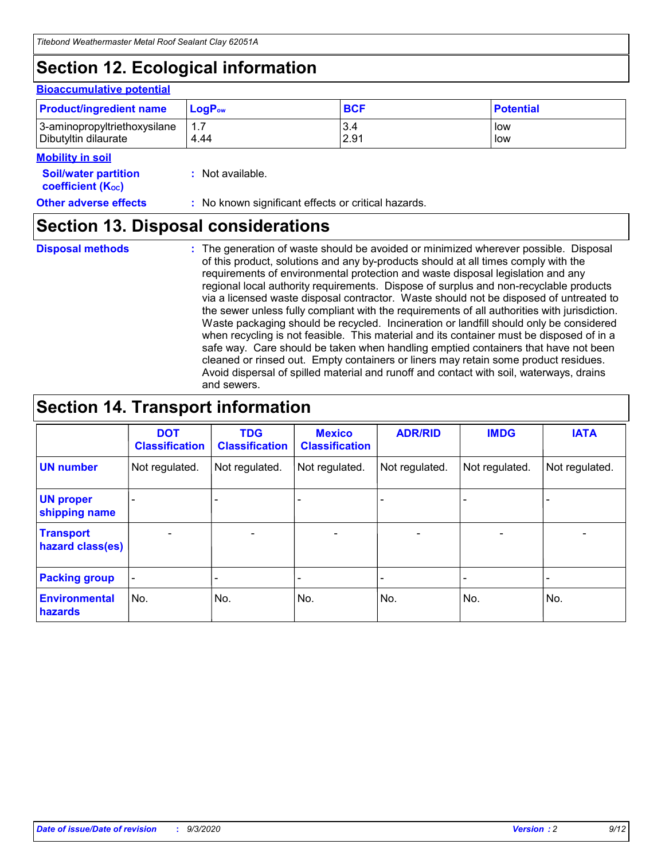# **Section 12. Ecological information**

#### **Bioaccumulative potential**

| <b>Product/ingredient name</b> | $LoaPow$ | <b>BCF</b> | <b>Potential</b> |
|--------------------------------|----------|------------|------------------|
| 3-aminopropyltriethoxysilane   | 1.7      | 3.4        | low              |
| Dibutyltin dilaurate           | 4.44     | 2.91       | low              |

#### **Mobility in soil**

| <b>MODINA IN SON</b>                                          |                                                     |
|---------------------------------------------------------------|-----------------------------------------------------|
| <b>Soil/water partition</b><br>coefficient (K <sub>oc</sub> ) | : Not available.                                    |
| <b>Other adverse effects</b>                                  | : No known significant effects or critical hazards. |

### **Section 13. Disposal considerations**

**Disposal methods :**

The generation of waste should be avoided or minimized wherever possible. Disposal of this product, solutions and any by-products should at all times comply with the requirements of environmental protection and waste disposal legislation and any regional local authority requirements. Dispose of surplus and non-recyclable products via a licensed waste disposal contractor. Waste should not be disposed of untreated to the sewer unless fully compliant with the requirements of all authorities with jurisdiction. Waste packaging should be recycled. Incineration or landfill should only be considered when recycling is not feasible. This material and its container must be disposed of in a safe way. Care should be taken when handling emptied containers that have not been cleaned or rinsed out. Empty containers or liners may retain some product residues. Avoid dispersal of spilled material and runoff and contact with soil, waterways, drains and sewers.

### **Section 14. Transport information**

|                                      | <b>DOT</b><br><b>Classification</b> | <b>TDG</b><br><b>Classification</b> | <b>Mexico</b><br><b>Classification</b> | <b>ADR/RID</b>           | <b>IMDG</b>              | <b>IATA</b>    |
|--------------------------------------|-------------------------------------|-------------------------------------|----------------------------------------|--------------------------|--------------------------|----------------|
| <b>UN number</b>                     | Not regulated.                      | Not regulated.                      | Not regulated.                         | Not regulated.           | Not regulated.           | Not regulated. |
| <b>UN proper</b><br>shipping name    |                                     |                                     |                                        |                          |                          |                |
| <b>Transport</b><br>hazard class(es) |                                     | $\overline{\phantom{0}}$            | $\qquad \qquad \blacksquare$           | $\overline{\phantom{0}}$ | $\overline{\phantom{0}}$ |                |
| <b>Packing group</b>                 |                                     |                                     |                                        |                          |                          |                |
| <b>Environmental</b><br>hazards      | No.                                 | No.                                 | No.                                    | No.                      | No.                      | No.            |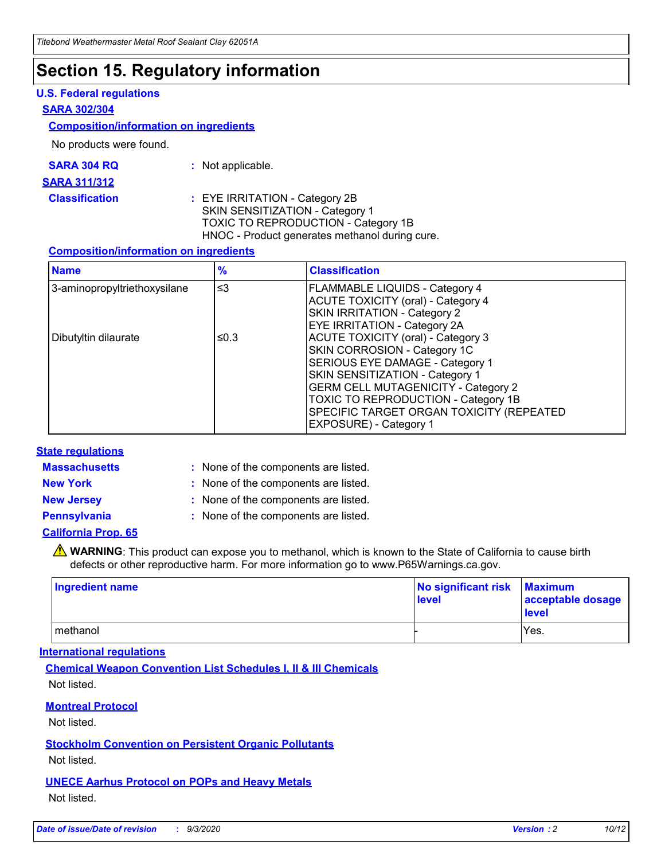### **Section 15. Regulatory information**

#### **U.S. Federal regulations**

#### **SARA 302/304**

#### **Composition/information on ingredients**

No products were found.

| SARA 304 RQ | Not applicable. |
|-------------|-----------------|
|-------------|-----------------|

#### **SARA 311/312**

**Classification :** EYE IRRITATION - Category 2B SKIN SENSITIZATION - Category 1 TOXIC TO REPRODUCTION - Category 1B HNOC - Product generates methanol during cure.

#### **Composition/information on ingredients**

| <b>Name</b>                  | $\frac{9}{6}$ | <b>Classification</b>                                                                                                                                                                                                                                                                                      |
|------------------------------|---------------|------------------------------------------------------------------------------------------------------------------------------------------------------------------------------------------------------------------------------------------------------------------------------------------------------------|
| 3-aminopropyltriethoxysilane | $\leq$ 3      | <b>FLAMMABLE LIQUIDS - Category 4</b><br><b>ACUTE TOXICITY (oral) - Category 4</b><br><b>SKIN IRRITATION - Category 2</b><br>EYE IRRITATION - Category 2A                                                                                                                                                  |
| Dibutyltin dilaurate         | ≤0.3          | <b>ACUTE TOXICITY (oral) - Category 3</b><br>SKIN CORROSION - Category 1C<br>SERIOUS EYE DAMAGE - Category 1<br>SKIN SENSITIZATION - Category 1<br><b>GERM CELL MUTAGENICITY - Category 2</b><br>TOXIC TO REPRODUCTION - Category 1B<br>SPECIFIC TARGET ORGAN TOXICITY (REPEATED<br>EXPOSURE) - Category 1 |

#### **State regulations**

**Massachusetts :**

: None of the components are listed.

**New York :** None of the components are listed. **New Jersey :** None of the components are listed.

**Pennsylvania :** None of the components are listed.

#### **California Prop. 65**

WARNING: This product can expose you to methanol, which is known to the State of California to cause birth defects or other reproductive harm. For more information go to www.P65Warnings.ca.gov.

| Ingredient name | No significant risk Maximum<br>level | acceptable dosage<br><b>level</b> |
|-----------------|--------------------------------------|-----------------------------------|
| I methanol      |                                      | Yes.                              |

#### **International regulations**

**Chemical Weapon Convention List Schedules I, II & III Chemicals** Not listed.

#### **Montreal Protocol**

Not listed.

**Stockholm Convention on Persistent Organic Pollutants**

Not listed.

#### **UNECE Aarhus Protocol on POPs and Heavy Metals** Not listed.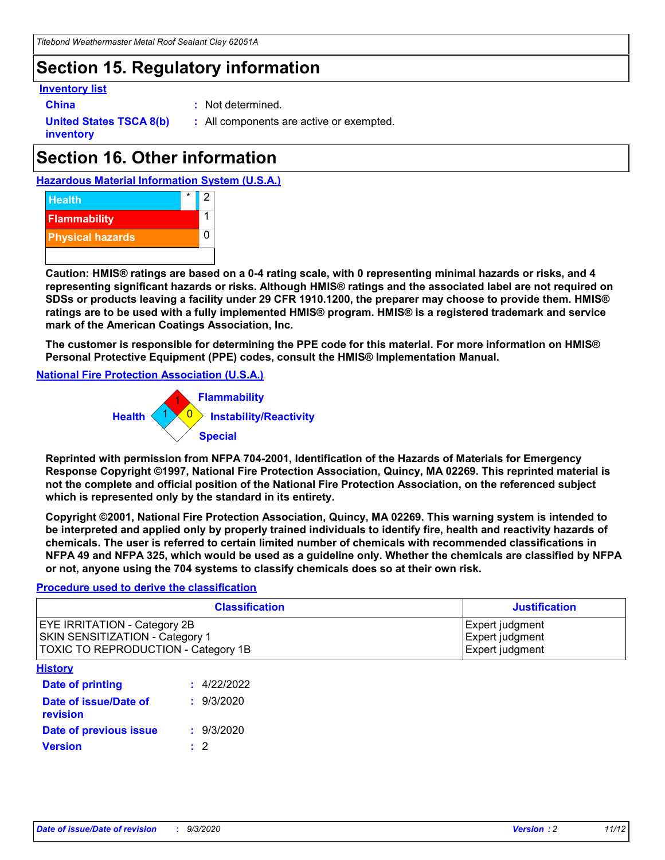### **Section 15. Regulatory information**

#### **Inventory list**

- 
- **China :** Not determined.

**United States TSCA 8(b) inventory**

**:** All components are active or exempted.

# **Section 16. Other information**





**Caution: HMIS® ratings are based on a 0-4 rating scale, with 0 representing minimal hazards or risks, and 4 representing significant hazards or risks. Although HMIS® ratings and the associated label are not required on SDSs or products leaving a facility under 29 CFR 1910.1200, the preparer may choose to provide them. HMIS® ratings are to be used with a fully implemented HMIS® program. HMIS® is a registered trademark and service mark of the American Coatings Association, Inc.**

**The customer is responsible for determining the PPE code for this material. For more information on HMIS® Personal Protective Equipment (PPE) codes, consult the HMIS® Implementation Manual.**

**National Fire Protection Association (U.S.A.)**



**Reprinted with permission from NFPA 704-2001, Identification of the Hazards of Materials for Emergency Response Copyright ©1997, National Fire Protection Association, Quincy, MA 02269. This reprinted material is not the complete and official position of the National Fire Protection Association, on the referenced subject which is represented only by the standard in its entirety.**

**Copyright ©2001, National Fire Protection Association, Quincy, MA 02269. This warning system is intended to be interpreted and applied only by properly trained individuals to identify fire, health and reactivity hazards of chemicals. The user is referred to certain limited number of chemicals with recommended classifications in NFPA 49 and NFPA 325, which would be used as a guideline only. Whether the chemicals are classified by NFPA or not, anyone using the 704 systems to classify chemicals does so at their own risk.**

#### **Procedure used to derive the classification**

| <b>Classification</b>                                                                                         | <b>Justification</b>                                  |
|---------------------------------------------------------------------------------------------------------------|-------------------------------------------------------|
| <b>EYE IRRITATION - Category 2B</b><br>SKIN SENSITIZATION - Category 1<br>TOXIC TO REPRODUCTION - Category 1B | Expert judgment<br>Expert judgment<br>Expert judgment |
| <b>History</b>                                                                                                |                                                       |

| .                                 |             |
|-----------------------------------|-------------|
| <b>Date of printing</b>           | : 4/22/2022 |
| Date of issue/Date of<br>revision | : 9/3/2020  |
| Date of previous issue            | : 9/3/2020  |
| <b>Version</b>                    | $\cdot$ 2   |
|                                   |             |